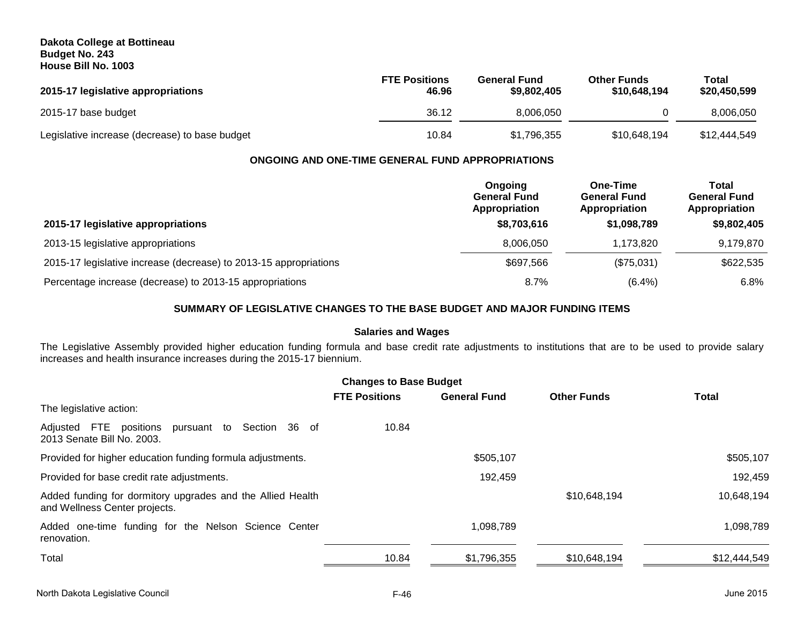## **Dakota College at Bottineau Budget No. 243 House Bill No. 1003**

| 2015-17 legislative appropriations             | <b>FTE Positions</b><br>46.96 | <b>General Fund</b><br>\$9,802,405 | <b>Other Funds</b><br>\$10,648,194 | Total<br>\$20,450,599 |
|------------------------------------------------|-------------------------------|------------------------------------|------------------------------------|-----------------------|
| 2015-17 base budget                            | 36.12                         | 8.006.050                          |                                    | 8.006.050             |
| Legislative increase (decrease) to base budget | 10.84                         | \$1,796,355                        | \$10,648,194                       | \$12,444,549          |

## **ONGOING AND ONE-TIME GENERAL FUND APPROPRIATIONS**

|                                                                   | Ongoing<br><b>General Fund</b><br>Appropriation | One-Time<br><b>General Fund</b><br>Appropriation | Total<br><b>General Fund</b><br>Appropriation |
|-------------------------------------------------------------------|-------------------------------------------------|--------------------------------------------------|-----------------------------------------------|
| 2015-17 legislative appropriations                                | \$8,703,616                                     | \$1,098,789                                      | \$9,802,405                                   |
| 2013-15 legislative appropriations                                | 8,006,050                                       | 1.173.820                                        | 9,179,870                                     |
| 2015-17 legislative increase (decrease) to 2013-15 appropriations | \$697,566                                       | (\$75,031)                                       | \$622,535                                     |
| Percentage increase (decrease) to 2013-15 appropriations          | $8.7\%$                                         | $(6.4\%)$                                        | 6.8%                                          |

# **SUMMARY OF LEGISLATIVE CHANGES TO THE BASE BUDGET AND MAJOR FUNDING ITEMS**

# **Salaries and Wages**

The Legislative Assembly provided higher education funding formula and base credit rate adjustments to institutions that are to be used to provide salary increases and health insurance increases during the 2015-17 biennium.

| <b>Changes to Base Budget</b>                                                               |                      |                     |                    |              |  |
|---------------------------------------------------------------------------------------------|----------------------|---------------------|--------------------|--------------|--|
| The legislative action:                                                                     | <b>FTE Positions</b> | <b>General Fund</b> | <b>Other Funds</b> | <b>Total</b> |  |
| Adjusted FTE positions pursuant to Section 36 of<br>2013 Senate Bill No. 2003.              | 10.84                |                     |                    |              |  |
| Provided for higher education funding formula adjustments.                                  |                      | \$505,107           |                    | \$505,107    |  |
| Provided for base credit rate adjustments.                                                  |                      | 192,459             |                    | 192,459      |  |
| Added funding for dormitory upgrades and the Allied Health<br>and Wellness Center projects. |                      |                     | \$10,648,194       | 10,648,194   |  |
| Added one-time funding for the Nelson Science Center<br>renovation.                         |                      | 1,098,789           |                    | 1,098,789    |  |
| Total                                                                                       | 10.84                | \$1,796,355         | \$10,648,194       | \$12,444,549 |  |